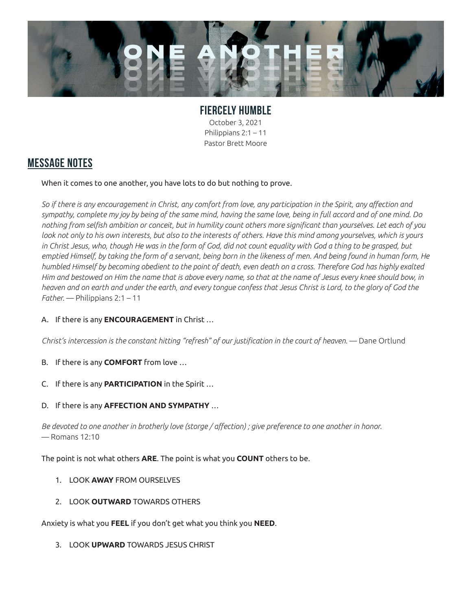

## **FIERCELY HUMBLE** October 3, 2021 Philippians 2:1 – 11

Pastor Brett Moore

## **MESSAGE NOTES**

When it comes to one another, you have lots to do but nothing to prove.

*So if there is any encouragement in Christ, any comfort from love, any participation in the Spirit, any affection and sympathy, complete my joy by being of the same mind, having the same love, being in full accord and of one mind. Do nothing from selfish ambition or conceit, but in humility count others more significant than yourselves. Let each of you look not only to his own interests, but also to the interests of others. Have this mind among yourselves, which is yours in Christ Jesus, who, though He was in the form of God, did not count equality with God a thing to be grasped, but emptied Himself, by taking the form of a servant, being born in the likeness of men. And being found in human form, He humbled Himself by becoming obedient to the point of death, even death on a cross. Therefore God has highly exalted Him and bestowed on Him the name that is above every name, so that at the name of Jesus every knee should bow, in heaven and on earth and under the earth, and every tongue confess that Jesus Christ is Lord, to the glory of God the Father.* — Philippians 2:1 – 11

## A. If there is any **ENCOURAGEMENT** in Christ …

*Christ's intercession is the constant hitting "refresh" of our justification in the court of heaven.* — Dane Ortlund

- B. If there is any **COMFORT** from love …
- C. If there is any **PARTICIPATION** in the Spirit …
- D. If there is any **AFFECTION AND SYMPATHY** …

*Be devoted to one another in brotherly love (storge / affection) ; give preference to one another in honor.*  — Romans 12:10

The point is not what others **ARE**. The point is what you **COUNT** others to be.

- 1. LOOK **AWAY** FROM OURSELVES
- 2. LOOK **OUTWARD** TOWARDS OTHERS

Anxiety is what you **FEEL** if you don't get what you think you **NEED**.

3. LOOK **UPWARD** TOWARDS JESUS CHRIST